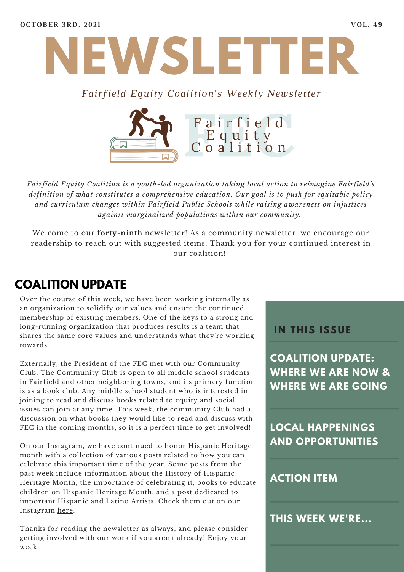

#### *Fairfield Equity Coalition's Weekly Newsletter*



*Fairfield Equity Coalition is a youth-led organization taking local action to reimagine Fairfield's definition of what constitutes a comprehensive education. Our goal is to push for equitable policy and curriculum changes within Fairfield Public Schools while raising awareness on injustices against marginalized populations within our community.*

Welcome to our **forty-ninth** newsletter! As a community newsletter, we encourage our readership to reach out with suggested items. Thank you for your continued interest in our coalition!

## **COALITION UPDATE**

Over the course of this week, we have been working internally as an organization to solidify our values and ensure the continued membership of existing members. One of the keys to a strong and long-running organization that produces results is a team that shares the same core values and understands what they're working towards.

Externally, the President of the FEC met with our Community Club. The Community Club is open to all middle school students in Fairfield and other neighboring towns, and its primary function is as a book club. Any middle school student who is interested in joining to read and discuss books related to equity and social issues can join at any time. This week, the community Club had a discussion on what books they would like to read and discuss with FEC in the coming months, so it is a perfect time to get involved!

On our Instagram, we have continued to honor Hispanic Heritage month with a collection of various posts related to how you can celebrate this important time of the year. Some posts from the past week include information about the History of Hispanic Heritage Month, the importance of celebrating it, books to educate children on Hispanic Heritage Month, and a post dedicated to important Hispanic and Latino Artists. Check them out on our Instagram [here](https://www.instagram.com/fairfieldequitycoalition/).

Thanks for reading the newsletter as always, and please consider getting involved with our work if you aren't already! Enjoy your week.

#### **I N THIS ISSUE**

**COALITION UPDATE: WHERE WE ARE NOW & WHERE WE ARE GOING**

**LOCAL HAPPENINGS AND OPPORTUNITIES**

#### **ACTION ITEM**

**THIS WEEK WE'RE...**